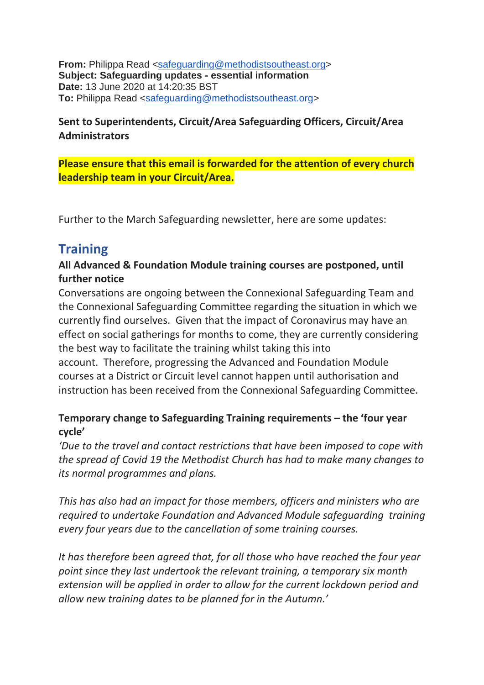**From:** Philippa Read [<safeguarding@methodistsoutheast.org>](mailto:safeguarding@methodistsoutheast.org) **Subject: Safeguarding updates - essential information Date:** 13 June 2020 at 14:20:35 BST **To:** Philippa Read [<safeguarding@methodistsoutheast.org>](mailto:safeguarding@methodistsoutheast.org)

## **Sent to Superintendents, Circuit/Area Safeguarding Officers, Circuit/Area Administrators**

#### **Please ensure that this email is forwarded for the attention of every church leadership team in your Circuit/Area.**

Further to the March Safeguarding newsletter, here are some updates:

# **Training**

#### **All Advanced & Foundation Module training courses are postponed, until further notice**

Conversations are ongoing between the Connexional Safeguarding Team and the Connexional Safeguarding Committee regarding the situation in which we currently find ourselves. Given that the impact of Coronavirus may have an effect on social gatherings for months to come, they are currently considering the best way to facilitate the training whilst taking this into account. Therefore, progressing the Advanced and Foundation Module courses at a District or Circuit level cannot happen until authorisation and instruction has been received from the Connexional Safeguarding Committee.

## **Temporary change to Safeguarding Training requirements – the 'four year cycle'**

*'Due to the travel and contact restrictions that have been imposed to cope with the spread of Covid 19 the Methodist Church has had to make many changes to its normal programmes and plans.*

*This has also had an impact for those members, officers and ministers who are required to undertake Foundation and Advanced Module safeguarding training every four years due to the cancellation of some training courses.*

*It has therefore been agreed that, for all those who have reached the four year point since they last undertook the relevant training, a temporary six month extension will be applied in order to allow for the current lockdown period and allow new training dates to be planned for in the Autumn.'*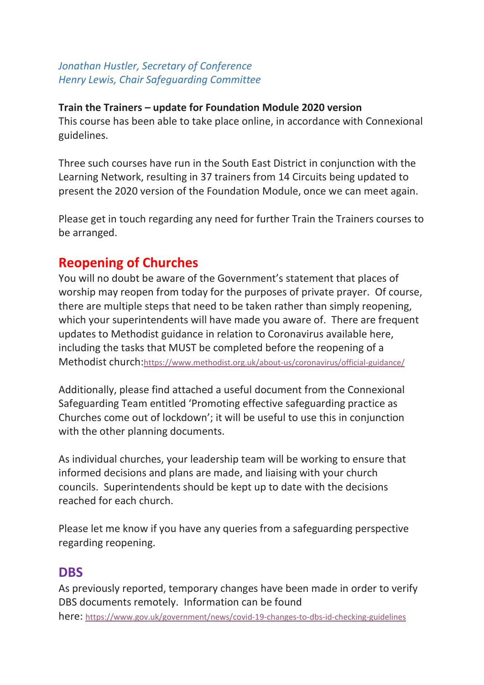*Jonathan Hustler, Secretary of Conference Henry Lewis, Chair Safeguarding Committee*

#### **Train the Trainers – update for Foundation Module 2020 version**

This course has been able to take place online, in accordance with Connexional guidelines.

Three such courses have run in the South East District in conjunction with the Learning Network, resulting in 37 trainers from 14 Circuits being updated to present the 2020 version of the Foundation Module, once we can meet again.

Please get in touch regarding any need for further Train the Trainers courses to be arranged.

## **Reopening of Churches**

You will no doubt be aware of the Government's statement that places of worship may reopen from today for the purposes of private prayer. Of course, there are multiple steps that need to be taken rather than simply reopening, which your superintendents will have made you aware of. There are frequent updates to Methodist guidance in relation to Coronavirus available here, including the tasks that MUST be completed before the reopening of a Methodist church:<https://www.methodist.org.uk/about-us/coronavirus/official-guidance/>

Additionally, please find attached a useful document from the Connexional Safeguarding Team entitled 'Promoting effective safeguarding practice as Churches come out of lockdown'; it will be useful to use this in conjunction with the other planning documents.

As individual churches, your leadership team will be working to ensure that informed decisions and plans are made, and liaising with your church councils. Superintendents should be kept up to date with the decisions reached for each church.

Please let me know if you have any queries from a safeguarding perspective regarding reopening.

## **DBS**

As previously reported, temporary changes have been made in order to verify DBS documents remotely. Information can be found here: <https://www.gov.uk/government/news/covid-19-changes-to-dbs-id-checking-guidelines>